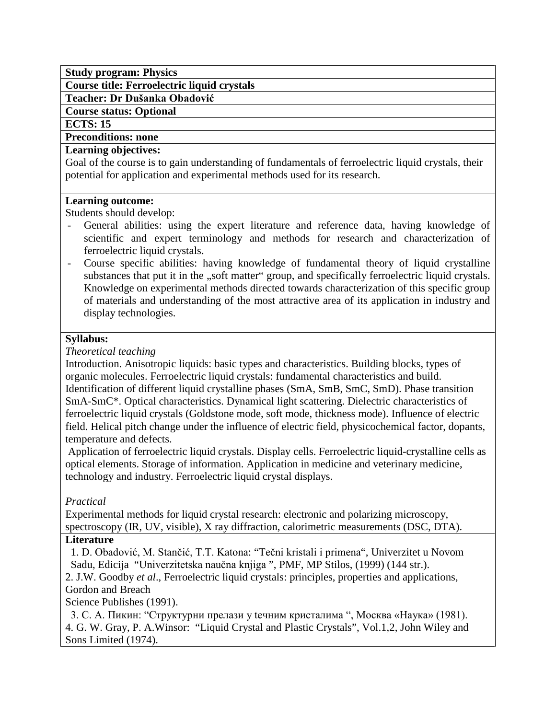## **Study program: Physics**

**Course title: Ferroelectric liquid crystals**

**Teacher: Dr Dušanka Obadović**

#### **Course status: Optional**

**ECTS: 15**

#### **Preconditions: none**

### **Learning objectives:**

Goal of the course is to gain understanding of fundamentals of ferroelectric liquid crystals, their potential for application and experimental methods used for its research.

### **Learning outcome:**

Students should develop:

- General abilities: using the expert literature and reference data, having knowledge of scientific and expert terminology and methods for research and characterization of ferroelectric liquid crystals.
- Course specific abilities: having knowledge of fundamental theory of liquid crystalline substances that put it in the "soft matter" group, and specifically ferroelectric liquid crystals. Knowledge on experimental methods directed towards characterization of this specific group of materials and understanding of the most attractive area of its application in industry and display technologies.

## **Syllabus:**

*Theoretical teaching*

Introduction. Anisotropic liquids: basic types and characteristics. Building blocks, types of organic molecules. Ferroelectric liquid crystals: fundamental characteristics and build. Identification of different liquid crystalline phases (SmA, SmB, SmC, SmD). Phase transition SmA-SmC\*. Optical characteristics. Dynamical light scattering. Dielectric characteristics of ferroelectric liquid crystals (Goldstone mode, soft mode, thickness mode). Influence of electric field. Helical pitch change under the influence of electric field, physicochemical factor, dopants, temperature and defects.

Application of ferroelectric liquid crystals. Display cells. Ferroelectric liquid-crystalline cells as optical elements. Storage of information. Application in medicine and veterinary medicine, technology and industry. Ferroelectric liquid crystal displays.

## *Practical*

Experimental methods for liquid crystal research: electronic and polarizing microscopy, spectroscopy (IR, UV, visible), X ray diffraction, calorimetric measurements (DSC, DTA).

# **Literature**

1. D. Obadović, M. Stančić, T.T. Katona: "Tečni kristali i primena", Univerzitet u Novom Sadu, Edicija "Univerzitetska naučna knjiga ", PMF, MP Stilos, (1999) (144 str.).

2. J.W. Goodby *et al*., Ferroelectric liquid crystals: principles, properties and applications, Gordon and Breach

Science Publishes (1991).

3. С. А. Пикин: "Структурни прелази у teчним кристалима ", Москва «Наука» (1981). 4. G. W. Gray, P. A.Winsor: "Liquid Crystal and Plastic Crystals", Vol.1,2, John Wiley and Sons Limited (1974).